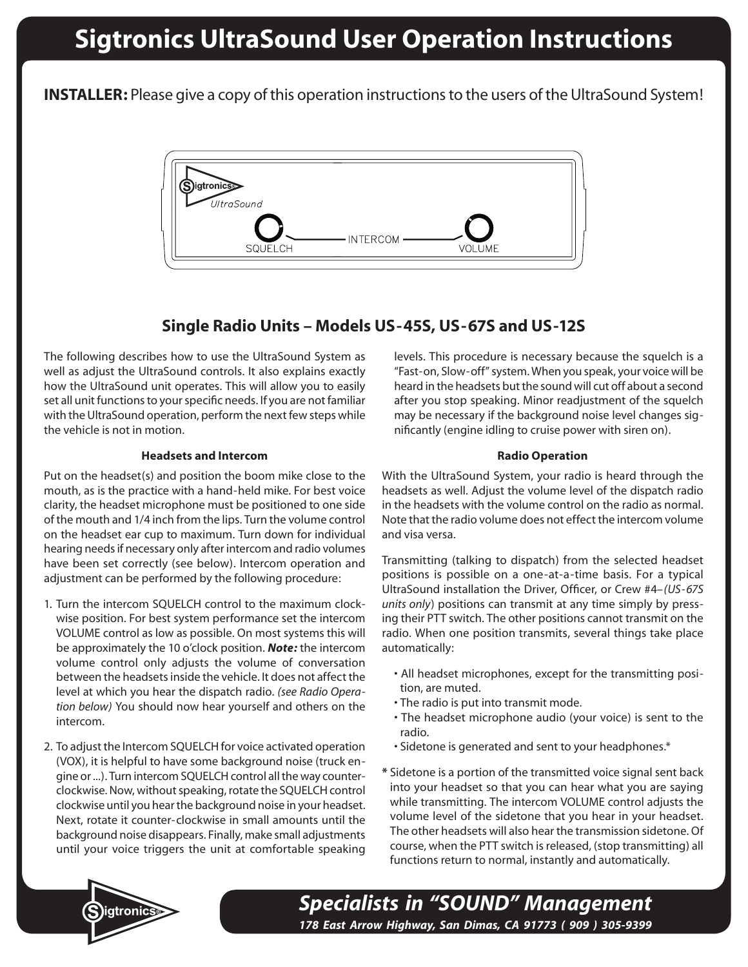# **Sigtronics UltraSound User Operation Instructions**

**INSTALLER:** Please give a copy of this operation instructions to the users of the UltraSound System!



# **Single Radio Units – Models US-45S, US-67S and US-12S**

The following describes how to use the UltraSound System as well as adjust the UltraSound controls. It also explains exactly how the UltraSound unit operates. This will allow you to easily set all unit functions to your specific needs. If you are not familiar with the UltraSound operation, perform the next few steps while the vehicle is not in motion.

### **Headsets and Intercom**

Put on the headset(s) and position the boom mike close to the mouth, as is the practice with a hand-held mike. For best voice clarity, the headset microphone must be positioned to one side of the mouth and 1/4 inch from the lips. Turn the volume control on the headset ear cup to maximum. Turn down for individual hearing needs if necessary only after intercom and radio volumes have been set correctly (see below). Intercom operation and adjustment can be performed by the following procedure:

- 1. Turn the intercom SQUELCH control to the maximum clockwise position. For best system performance set the intercom VOLUME control as low as possible. On most systems this will be approximately the 10 o'clock position. *Note:* the intercom volume control only adjusts the volume of conversation between the headsets inside the vehicle. It does not affect the level at which you hear the dispatch radio. *(see Radio Operation below)* You should now hear yourself and others on the intercom.
- 2. To adjust the Intercom SQUELCH for voice activated operation (VOX), it is helpful to have some background noise (truck engine or ...). Turn intercom SQUELCH control all the way counterclockwise. Now, without speaking, rotate the SQUELCH control clockwise until you hear the background noise in your headset. Next, rotate it counter-clockwise in small amounts until the background noise disappears. Finally, make small adjustments until your voice triggers the unit at comfortable speaking

levels. This procedure is necessary because the squelch is a "Fast-on, Slow-off" system. When you speak, your voice will be heard in the headsets but the sound will cut off about a second after you stop speaking. Minor readjustment of the squelch may be necessary if the background noise level changes significantly (engine idling to cruise power with siren on).

### **Radio Operation**

With the UltraSound System, your radio is heard through the headsets as well. Adjust the volume level of the dispatch radio in the headsets with the volume control on the radio as normal. Note that the radio volume does not effect the intercom volume and visa versa.

Transmitting (talking to dispatch) from the selected headset positions is possible on a one-at-a-time basis. For a typical UltraSound installation the Driver, Officer, or Crew #4*–(US-67S units only*) positions can transmit at any time simply by pressing their PTT switch. The other positions cannot transmit on the radio. When one position transmits, several things take place automatically:

- All headset microphones, except for the transmitting position, are muted.
- The radio is put into transmit mode.
- The headset microphone audio (your voice) is sent to the radio.
- Sidetone is generated and sent to your headphones.\*
- **\*** Sidetone is a portion of the transmitted voice signal sent back into your headset so that you can hear what you are saying while transmitting. The intercom VOLUME control adjusts the volume level of the sidetone that you hear in your headset. The other headsets will also hear the transmission sidetone. Of course, when the PTT switch is released, (stop transmitting) all functions return to normal, instantly and automatically.



*Specialists in "SOUND" Management 178 East Arrow Highway, San Dimas, CA 91773 ( 909 ) 305-9399*